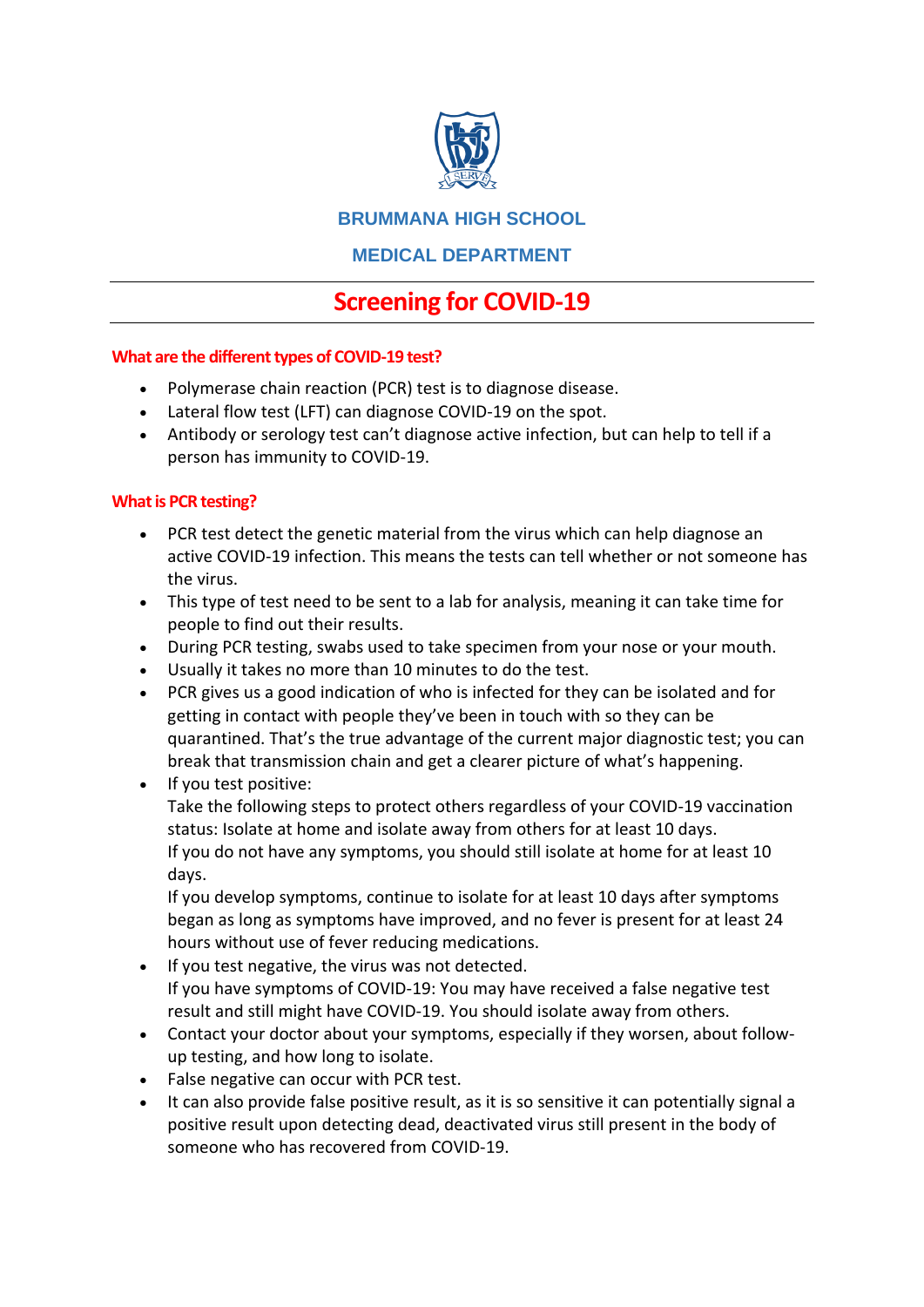

**BRUMMANA HIGH SCHOOL**

**MEDICAL DEPARTMENT**

## **Screening for COVID-19**

## **What are the different types of COVID-19 test?**

- Polymerase chain reaction (PCR) test is to diagnose disease.
- Lateral flow test (LFT) can diagnose COVID-19 on the spot.
- Antibody or serology test can't diagnose active infection, but can help to tell if a person has immunity to COVID-19.

## **What is PCR testing?**

- PCR test detect the genetic material from the virus which can help diagnose an active COVID-19 infection. This means the tests can tell whether or not someone has the virus.
- This type of test need to be sent to a lab for analysis, meaning it can take time for people to find out their results.
- During PCR testing, swabs used to take specimen from your nose or your mouth.
- Usually it takes no more than 10 minutes to do the test.
- PCR gives us a good indication of who is infected for they can be isolated and for getting in contact with people they've been in touch with so they can be quarantined. That's the true advantage of the current major diagnostic test; you can break that transmission chain and get a clearer picture of what's happening.
- If you test positive: Take the following steps to protect others regardless of your COVID-19 vaccination status: Isolate at home and isolate away from others for at least 10 days. If you do not have any symptoms, you should still isolate at home for at least 10 days.

If you develop symptoms, continue to isolate for at least 10 days after symptoms began as long as symptoms have improved, and no fever is present for at least 24 hours without use of fever reducing medications.

- If you test negative, the virus was not detected. If you have symptoms of COVID-19: You may have received a false negative test result and still might have COVID-19. You should isolate away from others.
- Contact your doctor about your symptoms, especially if they worsen, about followup testing, and how long to isolate.
- False negative can occur with PCR test.
- It can also provide false positive result, as it is so sensitive it can potentially signal a positive result upon detecting dead, deactivated virus still present in the body of someone who has recovered from COVID-19.